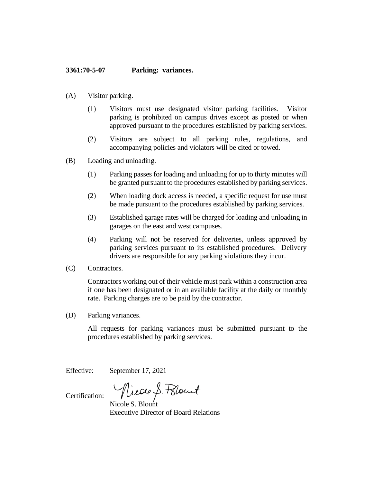## **3361:70-5-07 Parking: variances.**

- (A) Visitor parking.
	- (1) Visitors must use designated visitor parking facilities. Visitor parking is prohibited on campus drives except as posted or when approved pursuant to the procedures established by parking services.
	- (2) Visitors are subject to all parking rules, regulations, and accompanying policies and violators will be cited or towed.
- (B) Loading and unloading.
	- (1) Parking passes for loading and unloading for up to thirty minutes will be granted pursuant to the procedures established by parking services.
	- (2) When loading dock access is needed, a specific request for use must be made pursuant to the procedures established by parking services.
	- (3) Established garage rates will be charged for loading and unloading in garages on the east and west campuses.
	- (4) Parking will not be reserved for deliveries, unless approved by parking services pursuant to its established procedures. Delivery drivers are responsible for any parking violations they incur.
- (C) Contractors.

Contractors working out of their vehicle must park within a construction area if one has been designated or in an available facility at the daily or monthly rate. Parking charges are to be paid by the contractor.

(D) Parking variances.

All requests for parking variances must be submitted pursuant to the procedures established by parking services.

Effective: September 17, 2021

Nicole S. Blount

Certification:

Executive Director of Board Relations